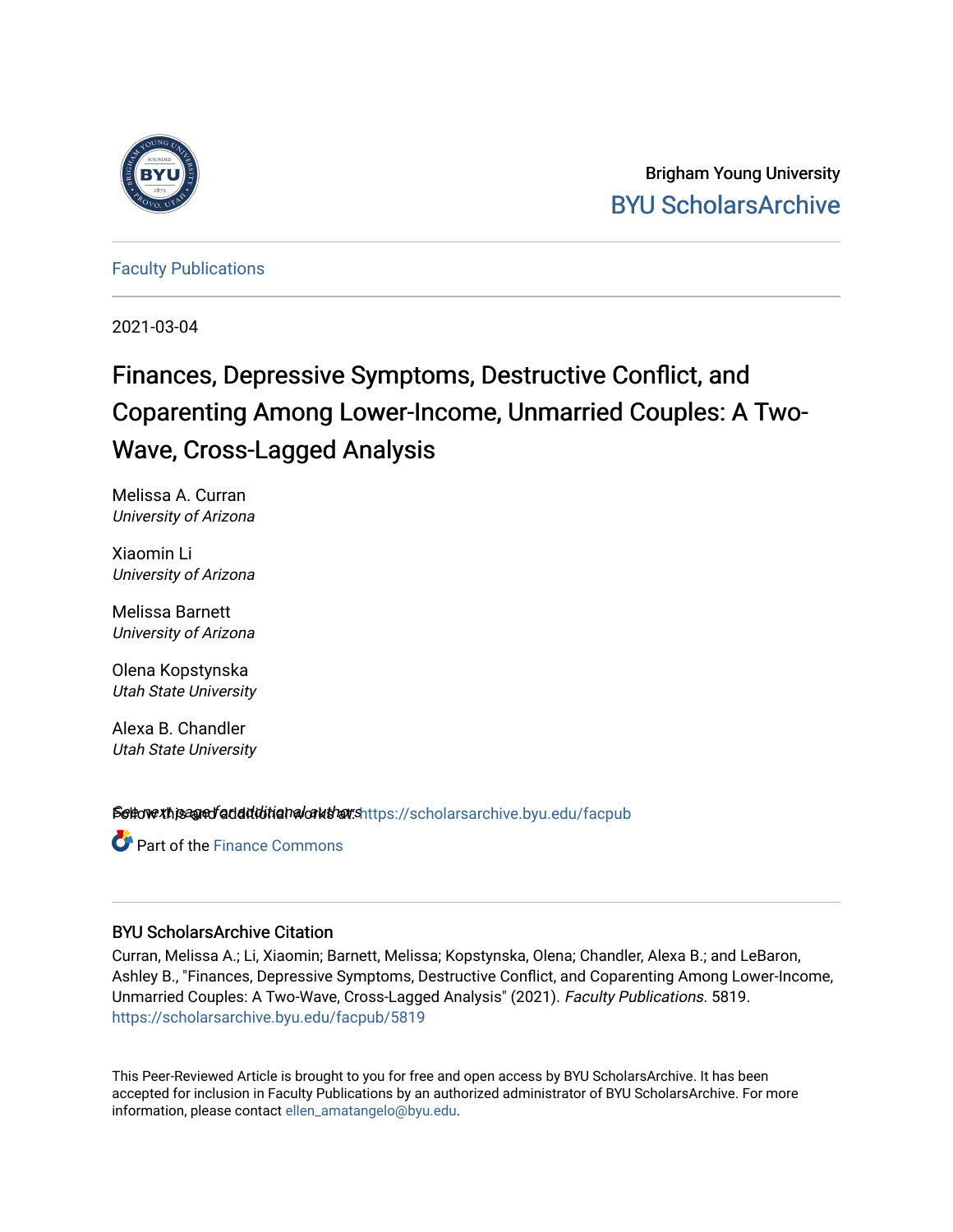

Brigham Young University [BYU ScholarsArchive](https://scholarsarchive.byu.edu/) 

[Faculty Publications](https://scholarsarchive.byu.edu/facpub)

2021-03-04

# Finances, Depressive Symptoms, Destructive Conflict, and Coparenting Among Lower-Income, Unmarried Couples: A Two-Wave, Cross-Lagged Analysis

Melissa A. Curran University of Arizona

Xiaomin Li University of Arizona

Melissa Barnett University of Arizona

Olena Kopstynska Utah State University

Alexa B. Chandler Utah State University

Settovext paged additional authors https://scholarsarchive.byu.edu/facpub

**Part of the Finance Commons** 

## BYU ScholarsArchive Citation

Curran, Melissa A.; Li, Xiaomin; Barnett, Melissa; Kopstynska, Olena; Chandler, Alexa B.; and LeBaron, Ashley B., "Finances, Depressive Symptoms, Destructive Conflict, and Coparenting Among Lower-Income, Unmarried Couples: A Two-Wave, Cross-Lagged Analysis" (2021). Faculty Publications. 5819. [https://scholarsarchive.byu.edu/facpub/5819](https://scholarsarchive.byu.edu/facpub/5819?utm_source=scholarsarchive.byu.edu%2Ffacpub%2F5819&utm_medium=PDF&utm_campaign=PDFCoverPages)

This Peer-Reviewed Article is brought to you for free and open access by BYU ScholarsArchive. It has been accepted for inclusion in Faculty Publications by an authorized administrator of BYU ScholarsArchive. For more information, please contact [ellen\\_amatangelo@byu.edu.](mailto:ellen_amatangelo@byu.edu)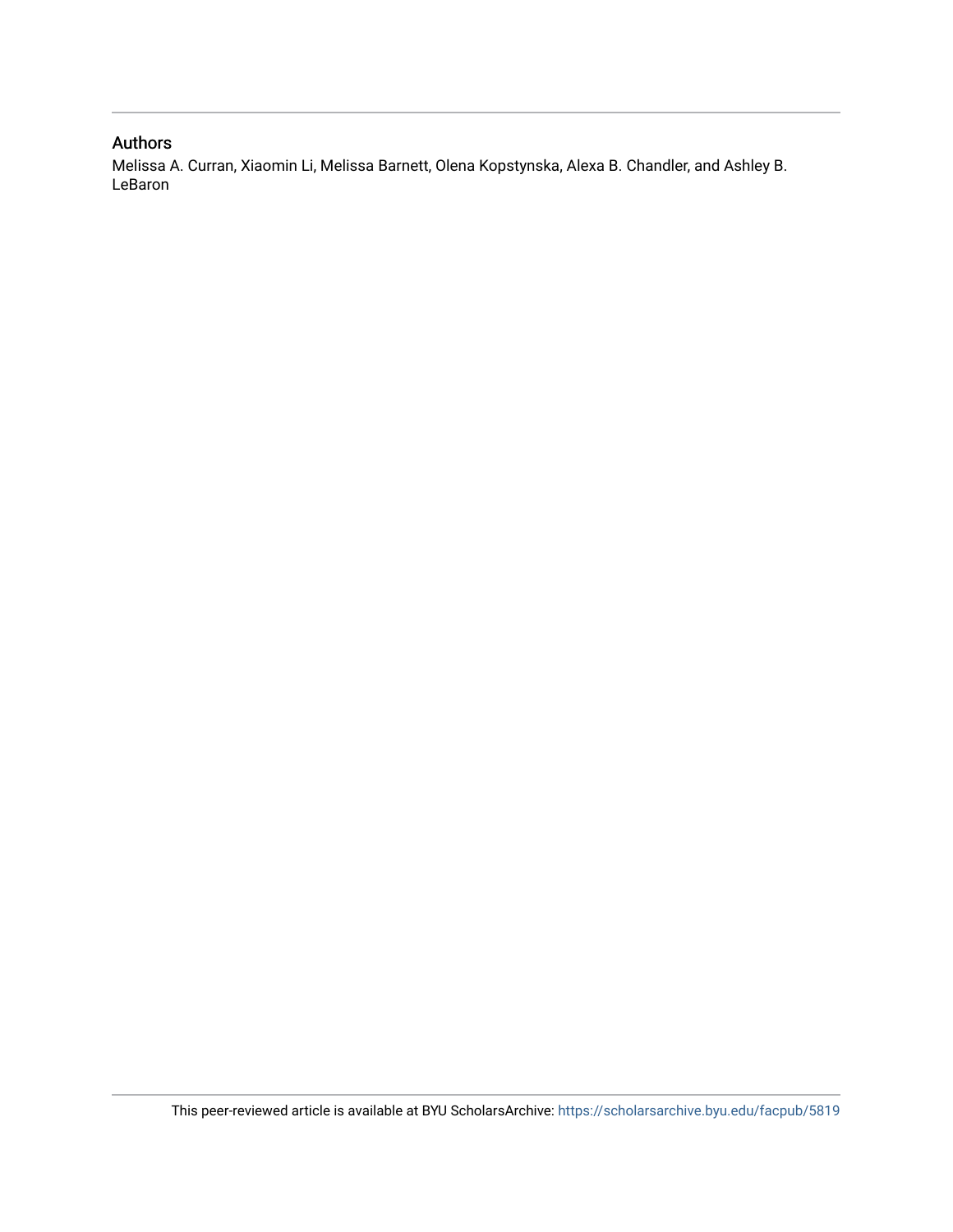### Authors

Melissa A. Curran, Xiaomin Li, Melissa Barnett, Olena Kopstynska, Alexa B. Chandler, and Ashley B. LeBaron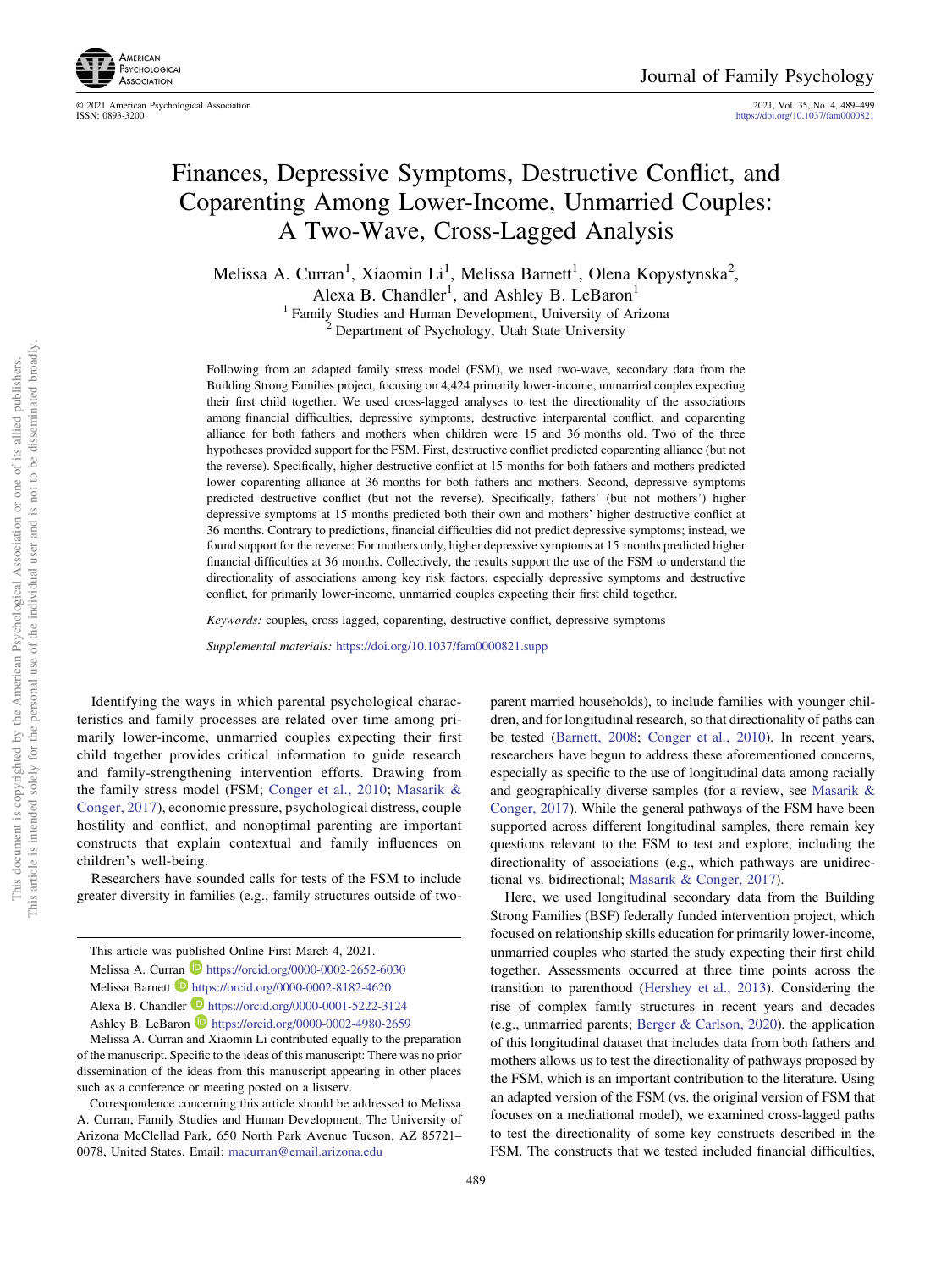

© 2021 American Psychological Association 2021, Vol. 35, No. 4, 489–499

<https://doi.org/10.1037/fam0000821>

## Finances, Depressive Symptoms, Destructive Conflict, and Coparenting Among Lower-Income, Unmarried Couples: A Two-Wave, Cross-Lagged Analysis

Melissa A. Curran<sup>1</sup>, Xiaomin Li<sup>1</sup>, Melissa Barnett<sup>1</sup>, Olena Kopystynska<sup>2</sup>, Alexa B. Chandler<sup>1</sup>, and Ashley B. LeBaron<sup>1</sup> <sup>1</sup> Family Studies and Human Development, University of Arizona<sup>2</sup> Department of Psychology, Utah State University

Following from an adapted family stress model (FSM), we used two-wave, secondary data from the Building Strong Families project, focusing on 4,424 primarily lower-income, unmarried couples expecting their first child together. We used cross-lagged analyses to test the directionality of the associations among financial difficulties, depressive symptoms, destructive interparental conflict, and coparenting alliance for both fathers and mothers when children were 15 and 36 months old. Two of the three hypotheses provided support for the FSM. First, destructive conflict predicted coparenting alliance (but not the reverse). Specifically, higher destructive conflict at 15 months for both fathers and mothers predicted lower coparenting alliance at 36 months for both fathers and mothers. Second, depressive symptoms predicted destructive conflict (but not the reverse). Specifically, fathers' (but not mothers') higher depressive symptoms at 15 months predicted both their own and mothers' higher destructive conflict at 36 months. Contrary to predictions, financial difficulties did not predict depressive symptoms; instead, we found support for the reverse: For mothers only, higher depressive symptoms at 15 months predicted higher financial difficulties at 36 months. Collectively, the results support the use of the FSM to understand the directionality of associations among key risk factors, especially depressive symptoms and destructive conflict, for primarily lower-income, unmarried couples expecting their first child together.

Keywords: couples, cross-lagged, coparenting, destructive conflict, depressive symptoms

Supplemental materials: <https://doi.org/10.1037/fam0000821.supp>

Identifying the ways in which parental psychological characteristics and family processes are related over time among primarily lower-income, unmarried couples expecting their first child together provides critical information to guide research and family-strengthening intervention efforts. Drawing from the family stress model (FSM; [Conger et al., 2010;](#page-10-0) [Masarik &](#page-11-0) [Conger, 2017](#page-11-0)), economic pressure, psychological distress, couple hostility and conflict, and nonoptimal parenting are important constructs that explain contextual and family influences on children's well-being.

Researchers have sounded calls for tests of the FSM to include greater diversity in families (e.g., family structures outside of two-

parent married households), to include families with younger children, and for longitudinal research, so that directionality of paths can be tested ([Barnett, 2008;](#page-10-0) [Conger et al., 2010\)](#page-10-0). In recent years, researchers have begun to address these aforementioned concerns, especially as specific to the use of longitudinal data among racially and geographically diverse samples (for a review, see [Masarik &](#page-11-0) [Conger, 2017](#page-11-0)). While the general pathways of the FSM have been supported across different longitudinal samples, there remain key questions relevant to the FSM to test and explore, including the directionality of associations (e.g., which pathways are unidirectional vs. bidirectional; [Masarik & Conger, 2017](#page-11-0)).

Here, we used longitudinal secondary data from the Building Strong Families (BSF) federally funded intervention project, which focused on relationship skills education for primarily lower-income, unmarried couples who started the study expecting their first child together. Assessments occurred at three time points across the transition to parenthood ([Hershey et al., 2013](#page-11-0)). Considering the rise of complex family structures in recent years and decades (e.g., unmarried parents; [Berger & Carlson, 2020\)](#page-10-0), the application of this longitudinal dataset that includes data from both fathers and mothers allows us to test the directionality of pathways proposed by the FSM, which is an important contribution to the literature. Using an adapted version of the FSM (vs. the original version of FSM that focuses on a mediational model), we examined cross-lagged paths to test the directionality of some key constructs described in the FSM. The constructs that we tested included financial difficulties,

This article was published Online First March 4, 2021. Melissa A. Curran  $\blacksquare$  <https://orcid.org/0000-0002-2652-6030> Melissa Barnett <https://orcid.org/0000-0002-8182-4620> Alexa B. Chandler <https://orcid.org/0000-0001-5222-3124> Ashley B. LeBaron **<https://orcid.org/0000-0002-4980-2659>** Melissa A. Curran and Xiaomin Li contributed equally to the preparation

of the manuscript. Specific to the ideas of this manuscript: There was no prior dissemination of the ideas from this manuscript appearing in other places such as a conference or meeting posted on a listserv.

Correspondence concerning this article should be addressed to Melissa A. Curran, Family Studies and Human Development, The University of Arizona McClellad Park, 650 North Park Avenue Tucson, AZ 85721– 0078, United States. Email: [macurran@email.arizona.edu](mailto:macurran@email.arizona.edu)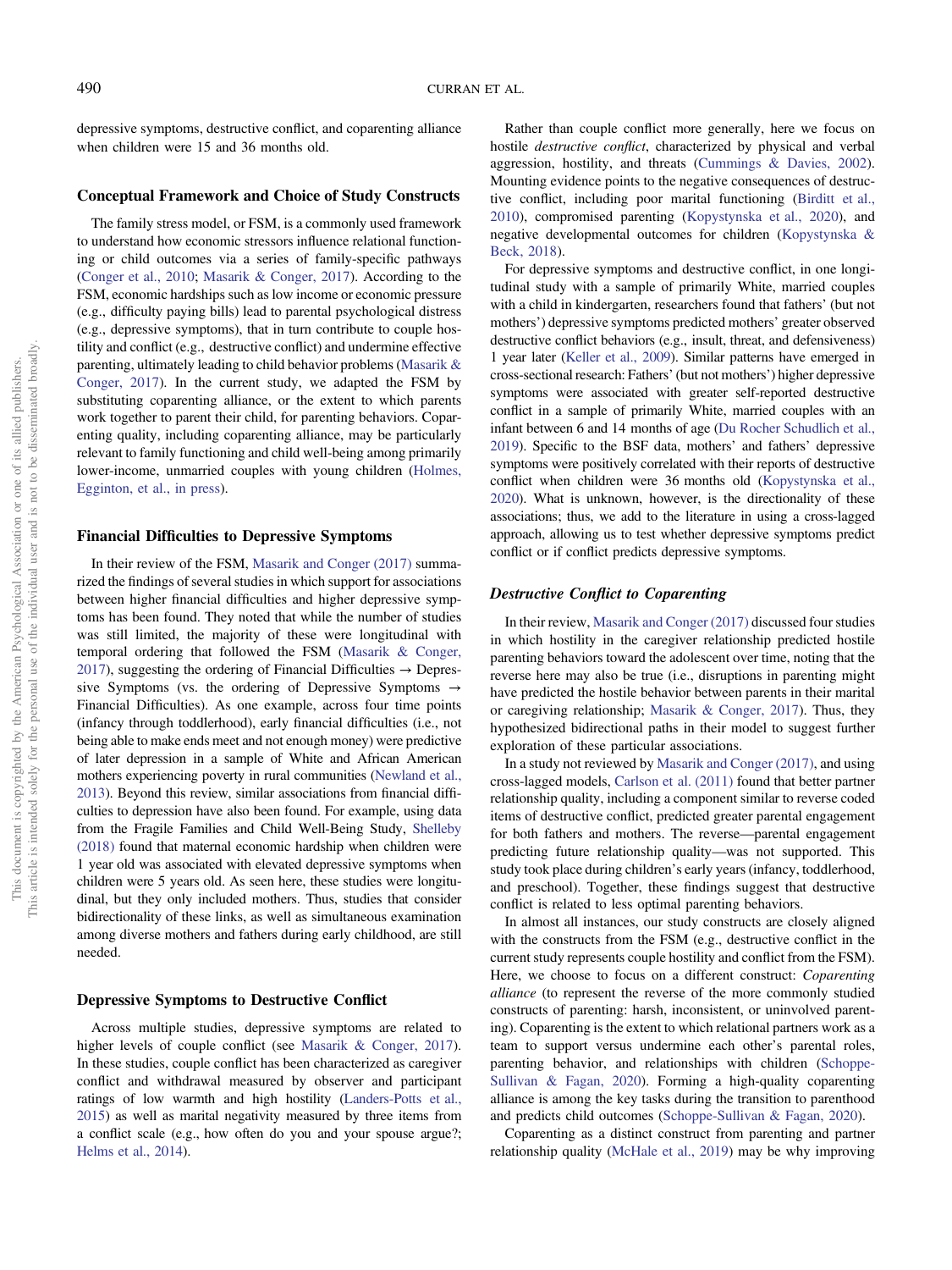depressive symptoms, destructive conflict, and coparenting alliance when children were 15 and 36 months old.

#### Conceptual Framework and Choice of Study Constructs

The family stress model, or FSM, is a commonly used framework to understand how economic stressors influence relational functioning or child outcomes via a series of family-specific pathways ([Conger et al., 2010](#page-10-0); [Masarik & Conger, 2017](#page-11-0)). According to the FSM, economic hardships such as low income or economic pressure (e.g., difficulty paying bills) lead to parental psychological distress (e.g., depressive symptoms), that in turn contribute to couple hostility and conflict (e.g., destructive conflict) and undermine effective parenting, ultimately leading to child behavior problems [\(Masarik &](#page-11-0) [Conger, 2017](#page-11-0)). In the current study, we adapted the FSM by substituting coparenting alliance, or the extent to which parents work together to parent their child, for parenting behaviors. Coparenting quality, including coparenting alliance, may be particularly relevant to family functioning and child well-being among primarily lower-income, unmarried couples with young children [\(Holmes,](#page-11-0) [Egginton, et al., in press](#page-11-0)).

#### Financial Difficulties to Depressive Symptoms

In their review of the FSM, [Masarik and Conger \(2017\)](#page-11-0) summarized the findings of several studies in which support for associations between higher financial difficulties and higher depressive symptoms has been found. They noted that while the number of studies was still limited, the majority of these were longitudinal with temporal ordering that followed the FSM [\(Masarik & Conger,](#page-11-0) [2017\)](#page-11-0), suggesting the ordering of Financial Difficulties  $\rightarrow$  Depressive Symptoms (vs. the ordering of Depressive Symptoms  $\rightarrow$ Financial Difficulties). As one example, across four time points (infancy through toddlerhood), early financial difficulties (i.e., not being able to make ends meet and not enough money) were predictive of later depression in a sample of White and African American mothers experiencing poverty in rural communities [\(Newland et al.,](#page-12-0) [2013\)](#page-12-0). Beyond this review, similar associations from financial difficulties to depression have also been found. For example, using data from the Fragile Families and Child Well-Being Study, [Shelleby](#page-12-0) [\(2018\)](#page-12-0) found that maternal economic hardship when children were 1 year old was associated with elevated depressive symptoms when children were 5 years old. As seen here, these studies were longitudinal, but they only included mothers. Thus, studies that consider bidirectionality of these links, as well as simultaneous examination among diverse mothers and fathers during early childhood, are still needed.

#### Depressive Symptoms to Destructive Conflict

Across multiple studies, depressive symptoms are related to higher levels of couple conflict (see [Masarik & Conger, 2017\)](#page-11-0). In these studies, couple conflict has been characterized as caregiver conflict and withdrawal measured by observer and participant ratings of low warmth and high hostility ([Landers-Potts et al.,](#page-11-0) [2015\)](#page-11-0) as well as marital negativity measured by three items from a conflict scale (e.g., how often do you and your spouse argue?; [Helms et al., 2014](#page-11-0)).

Rather than couple conflict more generally, here we focus on hostile destructive conflict, characterized by physical and verbal aggression, hostility, and threats ([Cummings & Davies, 2002\)](#page-11-0). Mounting evidence points to the negative consequences of destructive conflict, including poor marital functioning ([Birditt et al.,](#page-10-0) [2010\)](#page-10-0), compromised parenting ([Kopystynska et al., 2020](#page-11-0)), and negative developmental outcomes for children ([Kopystynska &](#page-11-0) [Beck, 2018\)](#page-11-0).

For depressive symptoms and destructive conflict, in one longitudinal study with a sample of primarily White, married couples with a child in kindergarten, researchers found that fathers' (but not mothers') depressive symptoms predicted mothers' greater observed destructive conflict behaviors (e.g., insult, threat, and defensiveness) 1 year later ([Keller et al., 2009](#page-11-0)). Similar patterns have emerged in cross-sectional research: Fathers' (but not mothers') higher depressive symptoms were associated with greater self-reported destructive conflict in a sample of primarily White, married couples with an infant between 6 and 14 months of age [\(Du Rocher Schudlich et al.,](#page-11-0) [2019\)](#page-11-0). Specific to the BSF data, mothers' and fathers' depressive symptoms were positively correlated with their reports of destructive conflict when children were 36 months old ([Kopystynska et al.,](#page-11-0) [2020\)](#page-11-0). What is unknown, however, is the directionality of these associations; thus, we add to the literature in using a cross-lagged approach, allowing us to test whether depressive symptoms predict conflict or if conflict predicts depressive symptoms.

#### Destructive Conflict to Coparenting

In their review, [Masarik and Conger \(2017\)](#page-11-0) discussed four studies in which hostility in the caregiver relationship predicted hostile parenting behaviors toward the adolescent over time, noting that the reverse here may also be true (i.e., disruptions in parenting might have predicted the hostile behavior between parents in their marital or caregiving relationship; [Masarik & Conger, 2017\)](#page-11-0). Thus, they hypothesized bidirectional paths in their model to suggest further exploration of these particular associations.

In a study not reviewed by [Masarik and Conger \(2017\),](#page-11-0) and using cross-lagged models, [Carlson et al. \(2011\)](#page-10-0) found that better partner relationship quality, including a component similar to reverse coded items of destructive conflict, predicted greater parental engagement for both fathers and mothers. The reverse—parental engagement predicting future relationship quality—was not supported. This study took place during children's early years (infancy, toddlerhood, and preschool). Together, these findings suggest that destructive conflict is related to less optimal parenting behaviors.

In almost all instances, our study constructs are closely aligned with the constructs from the FSM (e.g., destructive conflict in the current study represents couple hostility and conflict from the FSM). Here, we choose to focus on a different construct: Coparenting alliance (to represent the reverse of the more commonly studied constructs of parenting: harsh, inconsistent, or uninvolved parenting). Coparenting is the extent to which relational partners work as a team to support versus undermine each other's parental roles, parenting behavior, and relationships with children [\(Schoppe-](#page-12-0)[Sullivan & Fagan, 2020](#page-12-0)). Forming a high-quality coparenting alliance is among the key tasks during the transition to parenthood and predicts child outcomes ([Schoppe-Sullivan & Fagan, 2020](#page-12-0)).

Coparenting as a distinct construct from parenting and partner relationship quality ([McHale et al., 2019\)](#page-11-0) may be why improving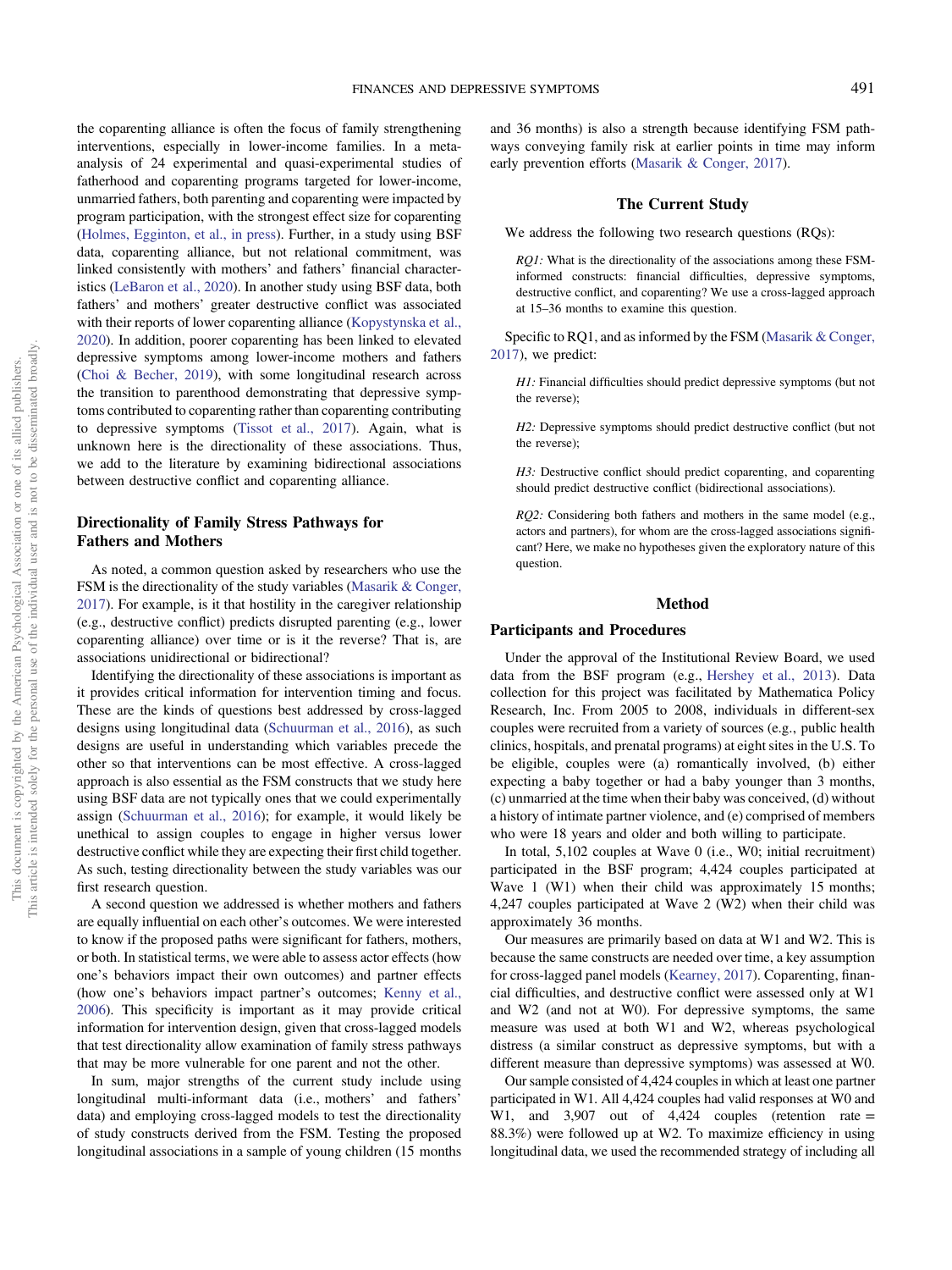the coparenting alliance is often the focus of family strengthening interventions, especially in lower-income families. In a metaanalysis of 24 experimental and quasi-experimental studies of fatherhood and coparenting programs targeted for lower-income, unmarried fathers, both parenting and coparenting were impacted by program participation, with the strongest effect size for coparenting ([Holmes, Egginton, et al., in press](#page-11-0)). Further, in a study using BSF data, coparenting alliance, but not relational commitment, was linked consistently with mothers' and fathers' financial characteristics [\(LeBaron et al., 2020](#page-11-0)). In another study using BSF data, both fathers' and mothers' greater destructive conflict was associated with their reports of lower coparenting alliance [\(Kopystynska et al.,](#page-11-0) [2020\)](#page-11-0). In addition, poorer coparenting has been linked to elevated depressive symptoms among lower-income mothers and fathers ([Choi & Becher, 2019\)](#page-10-0), with some longitudinal research across the transition to parenthood demonstrating that depressive symptoms contributed to coparenting rather than coparenting contributing to depressive symptoms [\(Tissot et al., 2017](#page-12-0)). Again, what is unknown here is the directionality of these associations. Thus, we add to the literature by examining bidirectional associations between destructive conflict and coparenting alliance.

#### Directionality of Family Stress Pathways for Fathers and Mothers

As noted, a common question asked by researchers who use the FSM is the directionality of the study variables [\(Masarik & Conger,](#page-11-0) [2017\)](#page-11-0). For example, is it that hostility in the caregiver relationship (e.g., destructive conflict) predicts disrupted parenting (e.g., lower coparenting alliance) over time or is it the reverse? That is, are associations unidirectional or bidirectional?

Identifying the directionality of these associations is important as it provides critical information for intervention timing and focus. These are the kinds of questions best addressed by cross-lagged designs using longitudinal data ([Schuurman et al., 2016\)](#page-12-0), as such designs are useful in understanding which variables precede the other so that interventions can be most effective. A cross-lagged approach is also essential as the FSM constructs that we study here using BSF data are not typically ones that we could experimentally assign ([Schuurman et al., 2016\)](#page-12-0); for example, it would likely be unethical to assign couples to engage in higher versus lower destructive conflict while they are expecting their first child together. As such, testing directionality between the study variables was our first research question.

A second question we addressed is whether mothers and fathers are equally influential on each other's outcomes. We were interested to know if the proposed paths were significant for fathers, mothers, or both. In statistical terms, we were able to assess actor effects (how one's behaviors impact their own outcomes) and partner effects (how one's behaviors impact partner's outcomes; [Kenny et al.,](#page-11-0) [2006\)](#page-11-0). This specificity is important as it may provide critical information for intervention design, given that cross-lagged models that test directionality allow examination of family stress pathways that may be more vulnerable for one parent and not the other.

In sum, major strengths of the current study include using longitudinal multi-informant data (i.e., mothers' and fathers' data) and employing cross-lagged models to test the directionality of study constructs derived from the FSM. Testing the proposed longitudinal associations in a sample of young children (15 months and 36 months) is also a strength because identifying FSM pathways conveying family risk at earlier points in time may inform early prevention efforts ([Masarik & Conger, 2017](#page-11-0)).

#### The Current Study

We address the following two research questions (RQs):

RQ1: What is the directionality of the associations among these FSMinformed constructs: financial difficulties, depressive symptoms, destructive conflict, and coparenting? We use a cross-lagged approach at 15–36 months to examine this question.

Specific to RQ1, and as informed by the FSM [\(Masarik & Conger,](#page-11-0) [2017](#page-11-0)), we predict:

H1: Financial difficulties should predict depressive symptoms (but not the reverse);

H2: Depressive symptoms should predict destructive conflict (but not the reverse);

H3: Destructive conflict should predict coparenting, and coparenting should predict destructive conflict (bidirectional associations).

RQ2: Considering both fathers and mothers in the same model (e.g., actors and partners), for whom are the cross-lagged associations significant? Here, we make no hypotheses given the exploratory nature of this question.

#### Method

#### Participants and Procedures

Under the approval of the Institutional Review Board, we used data from the BSF program (e.g., [Hershey et al., 2013](#page-11-0)). Data collection for this project was facilitated by Mathematica Policy Research, Inc. From 2005 to 2008, individuals in different-sex couples were recruited from a variety of sources (e.g., public health clinics, hospitals, and prenatal programs) at eight sites in the U.S. To be eligible, couples were (a) romantically involved, (b) either expecting a baby together or had a baby younger than 3 months, (c) unmarried at the time when their baby was conceived, (d) without a history of intimate partner violence, and (e) comprised of members who were 18 years and older and both willing to participate.

In total, 5,102 couples at Wave 0 (i.e., W0; initial recruitment) participated in the BSF program; 4,424 couples participated at Wave 1 (W1) when their child was approximately 15 months; 4,247 couples participated at Wave 2 (W2) when their child was approximately 36 months.

Our measures are primarily based on data at W1 and W2. This is because the same constructs are needed over time, a key assumption for cross-lagged panel models [\(Kearney, 2017\)](#page-11-0). Coparenting, financial difficulties, and destructive conflict were assessed only at W1 and W2 (and not at W0). For depressive symptoms, the same measure was used at both W1 and W2, whereas psychological distress (a similar construct as depressive symptoms, but with a different measure than depressive symptoms) was assessed at W0.

Our sample consisted of 4,424 couples in which at least one partner participated in W1. All 4,424 couples had valid responses at W0 and W1, and 3,907 out of 4,424 couples (retention rate = 88.3%) were followed up at W2. To maximize efficiency in using longitudinal data, we used the recommended strategy of including all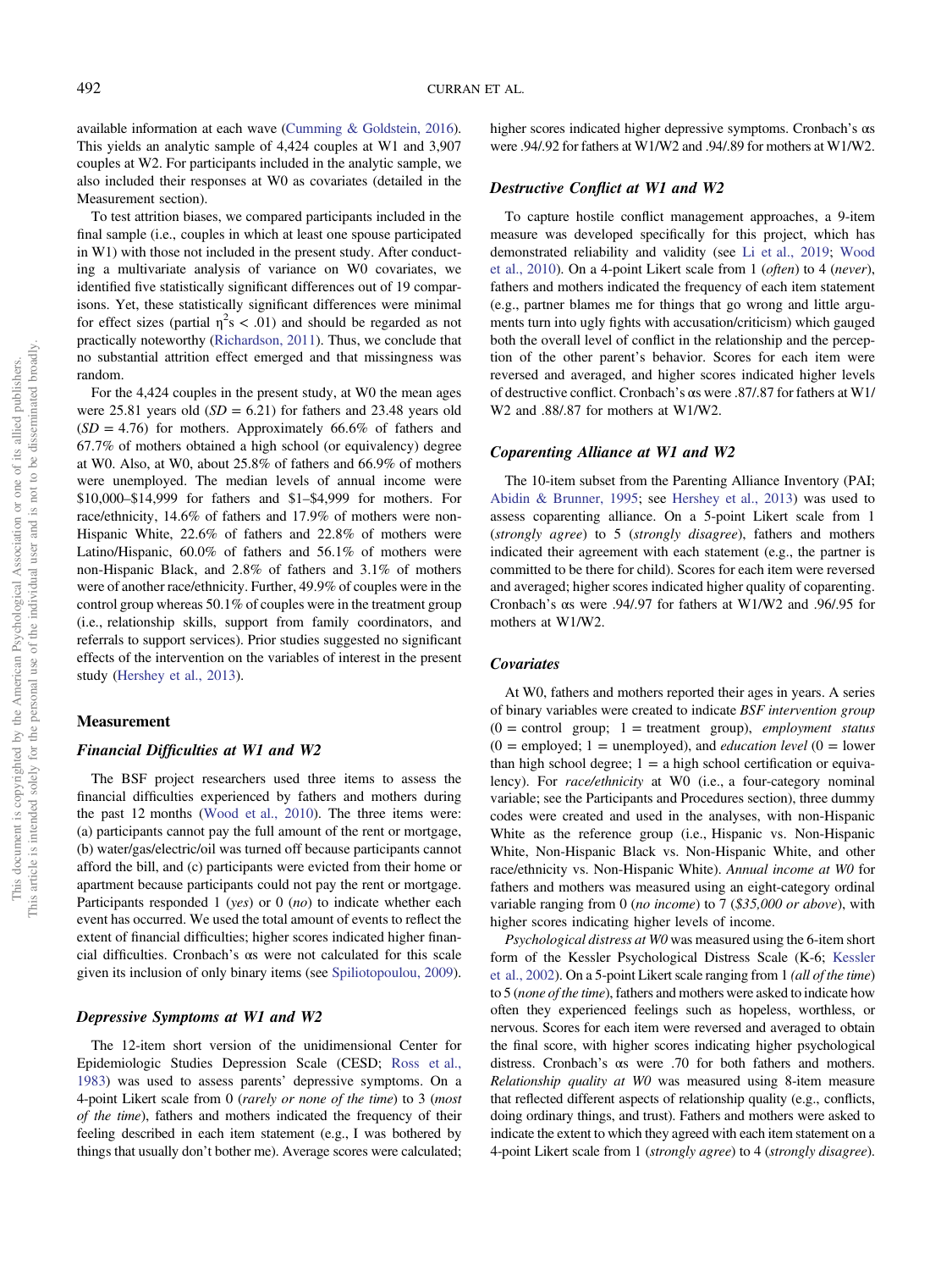available information at each wave [\(Cumming & Goldstein, 2016\)](#page-11-0). This yields an analytic sample of 4,424 couples at W1 and 3,907 couples at W2. For participants included in the analytic sample, we also included their responses at W0 as covariates (detailed in the Measurement section).

To test attrition biases, we compared participants included in the final sample (i.e., couples in which at least one spouse participated in W1) with those not included in the present study. After conducting a multivariate analysis of variance on W0 covariates, we identified five statistically significant differences out of 19 comparisons. Yet, these statistically significant differences were minimal for effect sizes (partial  $\eta^2 s < .01$ ) and should be regarded as not practically noteworthy ([Richardson, 2011](#page-12-0)). Thus, we conclude that no substantial attrition effect emerged and that missingness was random.

For the 4,424 couples in the present study, at W0 the mean ages were 25.81 years old  $(SD = 6.21)$  for fathers and 23.48 years old  $(SD = 4.76)$  for mothers. Approximately 66.6% of fathers and 67.7% of mothers obtained a high school (or equivalency) degree at W0. Also, at W0, about 25.8% of fathers and 66.9% of mothers were unemployed. The median levels of annual income were \$10,000–\$14,999 for fathers and \$1–\$4,999 for mothers. For race/ethnicity, 14.6% of fathers and 17.9% of mothers were non-Hispanic White, 22.6% of fathers and 22.8% of mothers were Latino/Hispanic, 60.0% of fathers and 56.1% of mothers were non-Hispanic Black, and 2.8% of fathers and 3.1% of mothers were of another race/ethnicity. Further, 49.9% of couples were in the control group whereas 50.1% of couples were in the treatment group (i.e., relationship skills, support from family coordinators, and referrals to support services). Prior studies suggested no significant effects of the intervention on the variables of interest in the present study [\(Hershey et al., 2013](#page-11-0)).

#### Measurement

#### Financial Difficulties at W1 and W2

The BSF project researchers used three items to assess the financial difficulties experienced by fathers and mothers during the past 12 months ([Wood et al., 2010\)](#page-12-0). The three items were: (a) participants cannot pay the full amount of the rent or mortgage, (b) water/gas/electric/oil was turned off because participants cannot afford the bill, and (c) participants were evicted from their home or apartment because participants could not pay the rent or mortgage. Participants responded 1 (yes) or 0  $(no)$  to indicate whether each event has occurred. We used the total amount of events to reflect the extent of financial difficulties; higher scores indicated higher financial difficulties. Cronbach's αs were not calculated for this scale given its inclusion of only binary items (see [Spiliotopoulou, 2009\)](#page-12-0).

#### Depressive Symptoms at W1 and W2

The 12-item short version of the unidimensional Center for Epidemiologic Studies Depression Scale (CESD; [Ross et al.,](#page-12-0) [1983\)](#page-12-0) was used to assess parents' depressive symptoms. On a 4-point Likert scale from 0 (rarely or none of the time) to 3 (most of the time), fathers and mothers indicated the frequency of their feeling described in each item statement (e.g., I was bothered by things that usually don't bother me). Average scores were calculated;

higher scores indicated higher depressive symptoms. Cronbach's αs were .94/.92 for fathers at W1/W2 and .94/.89 for mothers at W1/W2.

#### Destructive Conflict at W1 and W2

To capture hostile conflict management approaches, a 9-item measure was developed specifically for this project, which has demonstrated reliability and validity (see [Li et al., 2019;](#page-11-0) [Wood](#page-12-0) [et al., 2010\)](#page-12-0). On a 4-point Likert scale from 1 (often) to 4 (never), fathers and mothers indicated the frequency of each item statement (e.g., partner blames me for things that go wrong and little arguments turn into ugly fights with accusation/criticism) which gauged both the overall level of conflict in the relationship and the perception of the other parent's behavior. Scores for each item were reversed and averaged, and higher scores indicated higher levels of destructive conflict. Cronbach's αs were .87/.87 for fathers at W1/ W2 and .88/.87 for mothers at W1/W2.

#### Coparenting Alliance at W1 and W2

The 10-item subset from the Parenting Alliance Inventory (PAI; [Abidin & Brunner, 1995](#page-10-0); see [Hershey et al., 2013\)](#page-11-0) was used to assess coparenting alliance. On a 5-point Likert scale from 1 (strongly agree) to 5 (strongly disagree), fathers and mothers indicated their agreement with each statement (e.g., the partner is committed to be there for child). Scores for each item were reversed and averaged; higher scores indicated higher quality of coparenting. Cronbach's αs were .94/.97 for fathers at W1/W2 and .96/.95 for mothers at W1/W2.

#### **Covariates**

At W0, fathers and mothers reported their ages in years. A series of binary variables were created to indicate BSF intervention group  $(0 =$  control group; 1 = treatment group), *employment status*  $(0 =$  employed; 1 = unemployed), and *education level*  $(0 =$  lower than high school degree;  $1 = a$  high school certification or equivalency). For *race/ethnicity* at W0 (i.e., a four-category nominal variable; see the Participants and Procedures section), three dummy codes were created and used in the analyses, with non-Hispanic White as the reference group (i.e., Hispanic vs. Non-Hispanic White, Non-Hispanic Black vs. Non-Hispanic White, and other race/ethnicity vs. Non-Hispanic White). Annual income at W0 for fathers and mothers was measured using an eight-category ordinal variable ranging from 0 (no income) to 7 (\$35,000 or above), with higher scores indicating higher levels of income.

Psychological distress at W0 was measured using the 6-item short form of the Kessler Psychological Distress Scale (K-6; [Kessler](#page-11-0) [et al., 2002](#page-11-0)). On a 5-point Likert scale ranging from 1 (all of the time) to 5 (none of the time), fathers and mothers were asked to indicate how often they experienced feelings such as hopeless, worthless, or nervous. Scores for each item were reversed and averaged to obtain the final score, with higher scores indicating higher psychological distress. Cronbach's αs were .70 for both fathers and mothers. Relationship quality at W0 was measured using 8-item measure that reflected different aspects of relationship quality (e.g., conflicts, doing ordinary things, and trust). Fathers and mothers were asked to indicate the extent to which they agreed with each item statement on a 4-point Likert scale from 1 (strongly agree) to 4 (strongly disagree).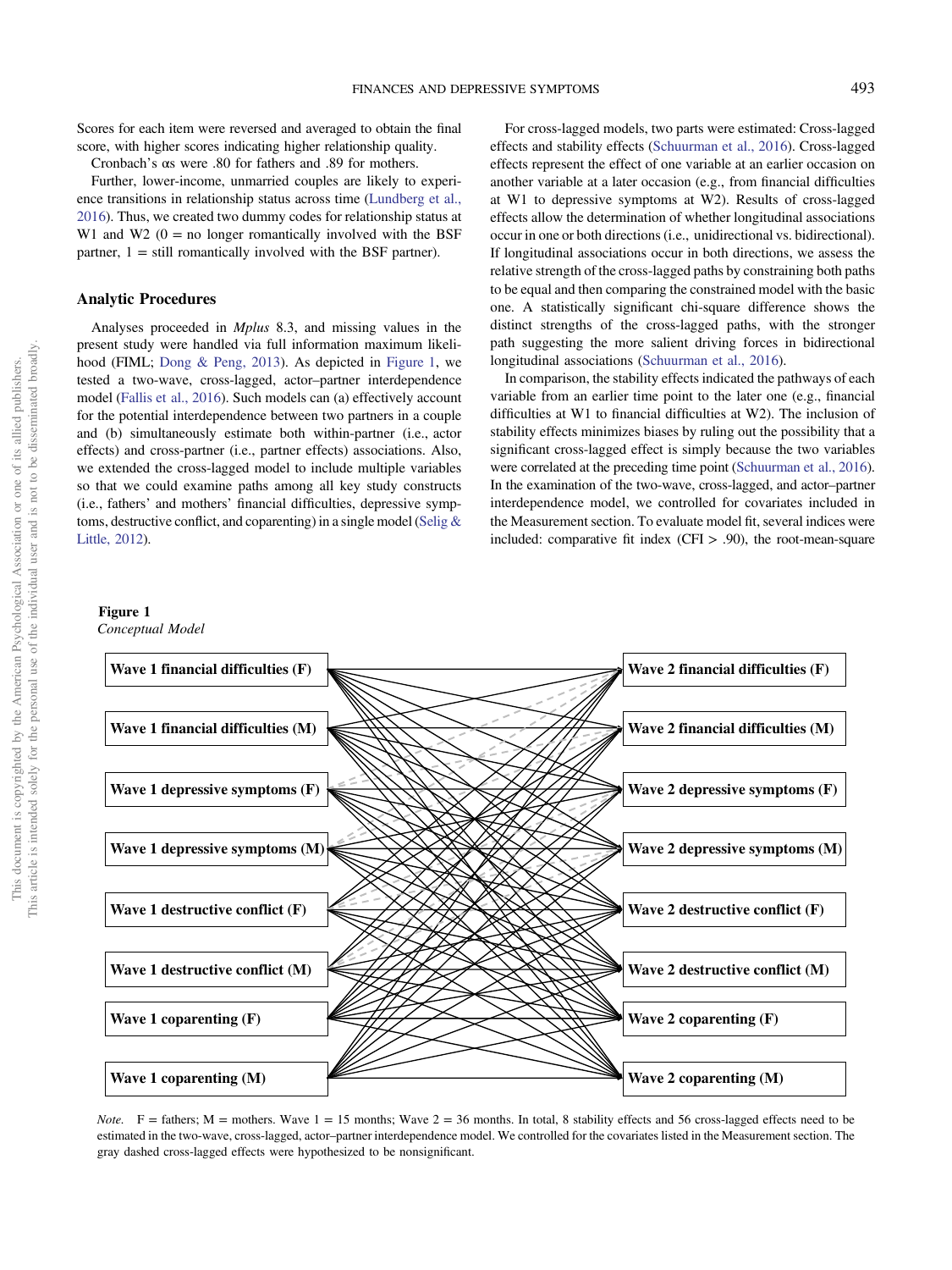Scores for each item were reversed and averaged to obtain the final score, with higher scores indicating higher relationship quality.

Cronbach's αs were .80 for fathers and .89 for mothers.

Further, lower-income, unmarried couples are likely to experience transitions in relationship status across time [\(Lundberg et al.,](#page-11-0) [2016\)](#page-11-0). Thus, we created two dummy codes for relationship status at W1 and W2  $(0 = no$  longer romantically involved with the BSF partner,  $1 =$  still romantically involved with the BSF partner).

#### Analytic Procedures

Analyses proceeded in Mplus 8.3, and missing values in the present study were handled via full information maximum likelihood (FIML; [Dong & Peng, 2013](#page-11-0)). As depicted in Figure 1, we tested a two-wave, cross-lagged, actor–partner interdependence model [\(Fallis et al., 2016\)](#page-11-0). Such models can (a) effectively account for the potential interdependence between two partners in a couple and (b) simultaneously estimate both within-partner (i.e., actor effects) and cross-partner (i.e., partner effects) associations. Also, we extended the cross-lagged model to include multiple variables so that we could examine paths among all key study constructs (i.e., fathers' and mothers' financial difficulties, depressive symptoms, destructive conflict, and coparenting) in a single model ([Selig &](#page-12-0) [Little, 2012](#page-12-0)).

#### Figure 1

Conceptual Model

For cross-lagged models, two parts were estimated: Cross-lagged effects and stability effects [\(Schuurman et al., 2016](#page-12-0)). Cross-lagged effects represent the effect of one variable at an earlier occasion on another variable at a later occasion (e.g., from financial difficulties at W1 to depressive symptoms at W2). Results of cross-lagged effects allow the determination of whether longitudinal associations occur in one or both directions (i.e., unidirectional vs. bidirectional). If longitudinal associations occur in both directions, we assess the relative strength of the cross-lagged paths by constraining both paths to be equal and then comparing the constrained model with the basic one. A statistically significant chi-square difference shows the distinct strengths of the cross-lagged paths, with the stronger path suggesting the more salient driving forces in bidirectional longitudinal associations ([Schuurman et al., 2016\)](#page-12-0).

In comparison, the stability effects indicated the pathways of each variable from an earlier time point to the later one (e.g., financial difficulties at W1 to financial difficulties at W2). The inclusion of stability effects minimizes biases by ruling out the possibility that a significant cross-lagged effect is simply because the two variables were correlated at the preceding time point [\(Schuurman et al., 2016\)](#page-12-0). In the examination of the two-wave, cross-lagged, and actor–partner interdependence model, we controlled for covariates included in the Measurement section. To evaluate model fit, several indices were included: comparative fit index  $(CFI > .90)$ , the root-mean-square



*Note.* F = fathers; M = mothers. Wave  $1 = 15$  months; Wave  $2 = 36$  months. In total, 8 stability effects and 56 cross-lagged effects need to be estimated in the two-wave, cross-lagged, actor–partner interdependence model. We controlled for the covariates listed in the Measurement section. The gray dashed cross-lagged effects were hypothesized to be nonsignificant.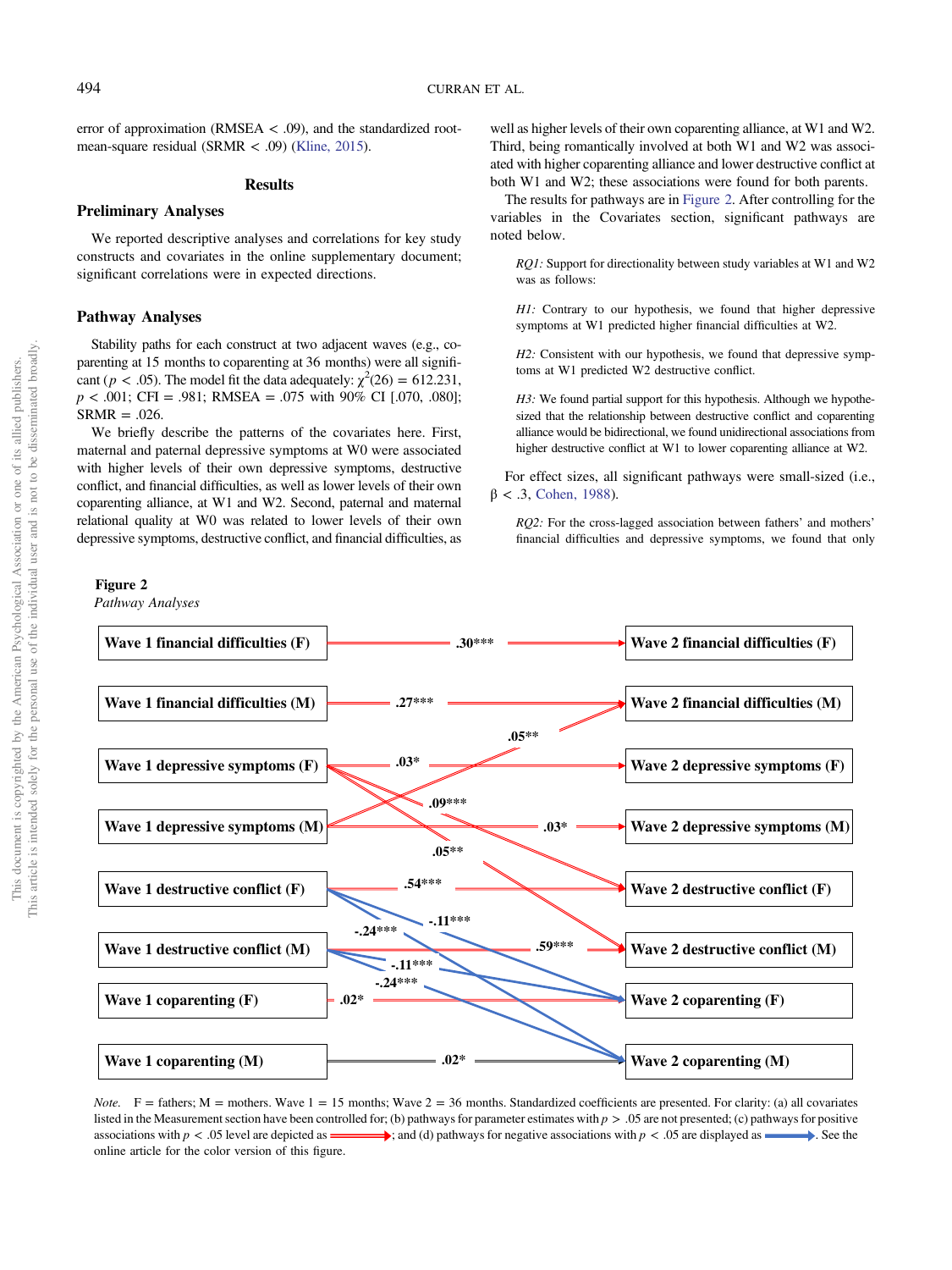error of approximation (RMSEA  $<$  .09), and the standardized rootmean-square residual (SRMR < .09) ([Kline, 2015\)](#page-11-0).

#### **Results**

#### Preliminary Analyses

We reported descriptive analyses and correlations for key study constructs and covariates in the online supplementary document; significant correlations were in expected directions.

#### Pathway Analyses

Stability paths for each construct at two adjacent waves (e.g., coparenting at 15 months to coparenting at 36 months) were all significant ( $p < .05$ ). The model fit the data adequately:  $\chi^2(26) = 612.231$ ,  $p < .001$ ; CFI = .981; RMSEA = .075 with 90% CI [.070, .080];  $SRMR = .026$ .

We briefly describe the patterns of the covariates here. First, maternal and paternal depressive symptoms at W0 were associated with higher levels of their own depressive symptoms, destructive conflict, and financial difficulties, as well as lower levels of their own coparenting alliance, at W1 and W2. Second, paternal and maternal relational quality at W0 was related to lower levels of their own depressive symptoms, destructive conflict, and financial difficulties, as

#### Figure 2

Pathway Analyses

well as higher levels of their own coparenting alliance, at W1 and W2. Third, being romantically involved at both W1 and W2 was associated with higher coparenting alliance and lower destructive conflict at both W1 and W2; these associations were found for both parents.

The results for pathways are in Figure 2. After controlling for the variables in the Covariates section, significant pathways are noted below.

RQ1: Support for directionality between study variables at W1 and W2 was as follows:

H1: Contrary to our hypothesis, we found that higher depressive symptoms at W1 predicted higher financial difficulties at W2.

H2: Consistent with our hypothesis, we found that depressive symptoms at W1 predicted W2 destructive conflict.

H3: We found partial support for this hypothesis. Although we hypothesized that the relationship between destructive conflict and coparenting alliance would be bidirectional, we found unidirectional associations from higher destructive conflict at W1 to lower coparenting alliance at W2.

For effect sizes, all significant pathways were small-sized (i.e.,  $β < .3$ , [Cohen, 1988](#page-10-0)).

RQ2: For the cross-lagged association between fathers' and mothers' financial difficulties and depressive symptoms, we found that only



Note. F = fathers; M = mothers. Wave  $1 = 15$  months; Wave  $2 = 36$  months. Standardized coefficients are presented. For clarity: (a) all covariates listed in the Measurement section have been controlled for; (b) pathways for parameter estimates with  $p > 0.05$  are not presented; (c) pathways for positive associations with  $p < .05$  level are depicted as  $\longrightarrow$ ; and (d) pathways for negative associations with  $p < .05$  are displayed as  $\longrightarrow$ . See the online article for the color version of this figure.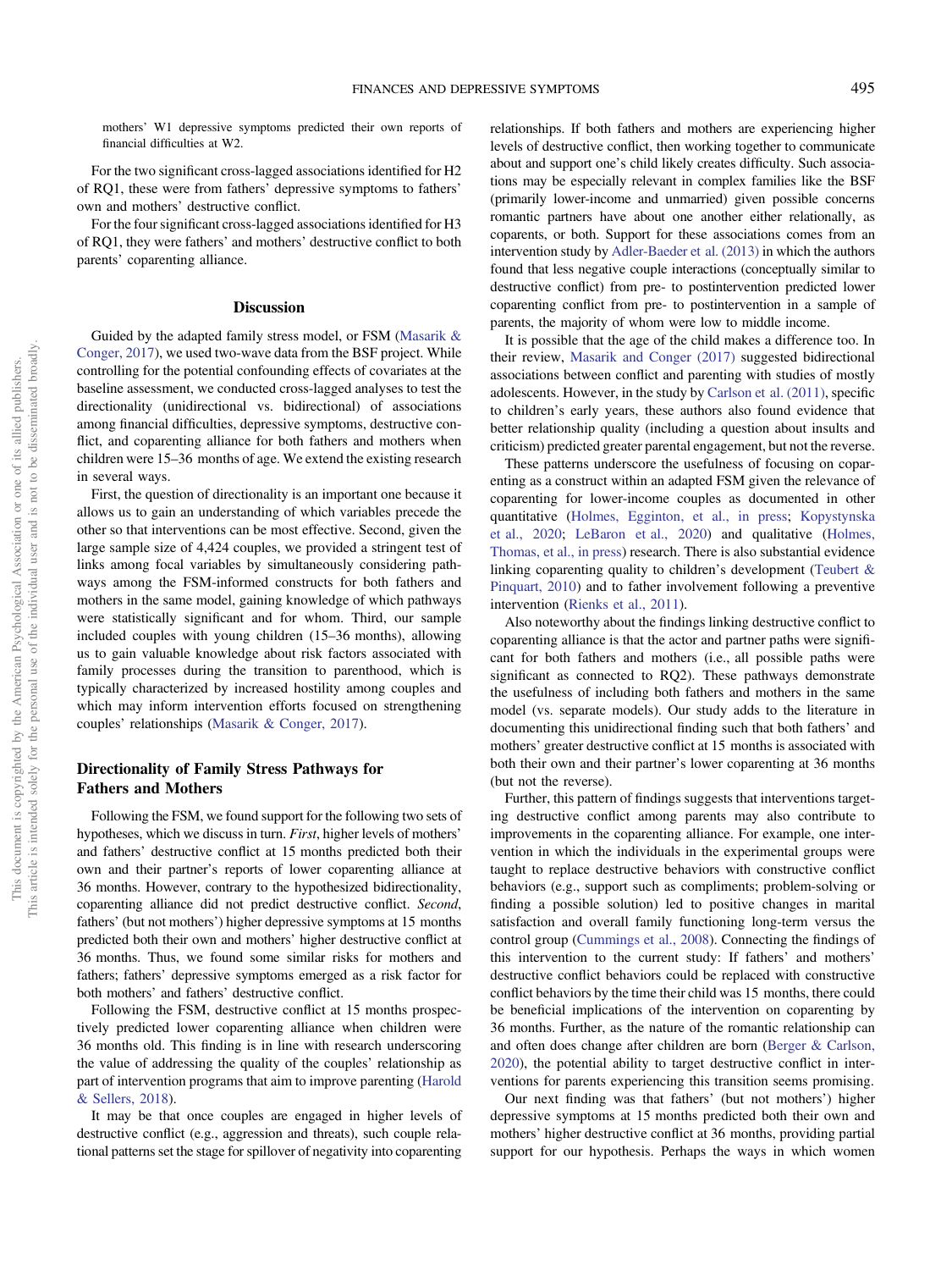mothers' W1 depressive symptoms predicted their own reports of financial difficulties at W2.

For the two significant cross-lagged associations identified for H2 of RQ1, these were from fathers' depressive symptoms to fathers' own and mothers' destructive conflict.

For the four significant cross-lagged associations identified for H3 of RQ1, they were fathers' and mothers' destructive conflict to both parents' coparenting alliance.

#### Discussion

Guided by the adapted family stress model, or FSM [\(Masarik &](#page-11-0) [Conger, 2017](#page-11-0)), we used two-wave data from the BSF project. While controlling for the potential confounding effects of covariates at the baseline assessment, we conducted cross-lagged analyses to test the directionality (unidirectional vs. bidirectional) of associations among financial difficulties, depressive symptoms, destructive conflict, and coparenting alliance for both fathers and mothers when children were 15–36 months of age. We extend the existing research in several ways.

First, the question of directionality is an important one because it allows us to gain an understanding of which variables precede the other so that interventions can be most effective. Second, given the large sample size of 4,424 couples, we provided a stringent test of links among focal variables by simultaneously considering pathways among the FSM-informed constructs for both fathers and mothers in the same model, gaining knowledge of which pathways were statistically significant and for whom. Third, our sample included couples with young children (15–36 months), allowing us to gain valuable knowledge about risk factors associated with family processes during the transition to parenthood, which is typically characterized by increased hostility among couples and which may inform intervention efforts focused on strengthening couples' relationships [\(Masarik & Conger, 2017\)](#page-11-0).

#### Directionality of Family Stress Pathways for Fathers and Mothers

Following the FSM, we found support for the following two sets of hypotheses, which we discuss in turn. First, higher levels of mothers' and fathers' destructive conflict at 15 months predicted both their own and their partner's reports of lower coparenting alliance at 36 months. However, contrary to the hypothesized bidirectionality, coparenting alliance did not predict destructive conflict. Second, fathers' (but not mothers') higher depressive symptoms at 15 months predicted both their own and mothers' higher destructive conflict at 36 months. Thus, we found some similar risks for mothers and fathers; fathers' depressive symptoms emerged as a risk factor for both mothers' and fathers' destructive conflict.

Following the FSM, destructive conflict at 15 months prospectively predicted lower coparenting alliance when children were 36 months old. This finding is in line with research underscoring the value of addressing the quality of the couples' relationship as part of intervention programs that aim to improve parenting [\(Harold](#page-11-0) [& Sellers, 2018](#page-11-0)).

It may be that once couples are engaged in higher levels of destructive conflict (e.g., aggression and threats), such couple relational patterns set the stage for spillover of negativity into coparenting relationships. If both fathers and mothers are experiencing higher levels of destructive conflict, then working together to communicate about and support one's child likely creates difficulty. Such associations may be especially relevant in complex families like the BSF (primarily lower-income and unmarried) given possible concerns romantic partners have about one another either relationally, as coparents, or both. Support for these associations comes from an intervention study by [Adler-Baeder et al. \(2013\)](#page-10-0) in which the authors found that less negative couple interactions (conceptually similar to destructive conflict) from pre- to postintervention predicted lower coparenting conflict from pre- to postintervention in a sample of parents, the majority of whom were low to middle income.

It is possible that the age of the child makes a difference too. In their review, [Masarik and Conger \(2017\)](#page-11-0) suggested bidirectional associations between conflict and parenting with studies of mostly adolescents. However, in the study by [Carlson et al. \(2011\),](#page-10-0) specific to children's early years, these authors also found evidence that better relationship quality (including a question about insults and criticism) predicted greater parental engagement, but not the reverse.

These patterns underscore the usefulness of focusing on coparenting as a construct within an adapted FSM given the relevance of coparenting for lower-income couples as documented in other quantitative [\(Holmes, Egginton, et al., in press](#page-11-0); [Kopystynska](#page-11-0) [et al., 2020](#page-11-0); [LeBaron et al., 2020](#page-11-0)) and qualitative [\(Holmes,](#page-11-0) [Thomas, et al., in press\)](#page-11-0) research. There is also substantial evidence linking coparenting quality to children's development [\(Teubert &](#page-12-0) [Pinquart, 2010\)](#page-12-0) and to father involvement following a preventive intervention ([Rienks et al., 2011\)](#page-12-0).

Also noteworthy about the findings linking destructive conflict to coparenting alliance is that the actor and partner paths were significant for both fathers and mothers (i.e., all possible paths were significant as connected to RQ2). These pathways demonstrate the usefulness of including both fathers and mothers in the same model (vs. separate models). Our study adds to the literature in documenting this unidirectional finding such that both fathers' and mothers' greater destructive conflict at 15 months is associated with both their own and their partner's lower coparenting at 36 months (but not the reverse).

Further, this pattern of findings suggests that interventions targeting destructive conflict among parents may also contribute to improvements in the coparenting alliance. For example, one intervention in which the individuals in the experimental groups were taught to replace destructive behaviors with constructive conflict behaviors (e.g., support such as compliments; problem-solving or finding a possible solution) led to positive changes in marital satisfaction and overall family functioning long-term versus the control group [\(Cummings et al., 2008](#page-11-0)). Connecting the findings of this intervention to the current study: If fathers' and mothers' destructive conflict behaviors could be replaced with constructive conflict behaviors by the time their child was 15 months, there could be beneficial implications of the intervention on coparenting by 36 months. Further, as the nature of the romantic relationship can and often does change after children are born ([Berger & Carlson,](#page-10-0) [2020\)](#page-10-0), the potential ability to target destructive conflict in interventions for parents experiencing this transition seems promising.

Our next finding was that fathers' (but not mothers') higher depressive symptoms at 15 months predicted both their own and mothers' higher destructive conflict at 36 months, providing partial support for our hypothesis. Perhaps the ways in which women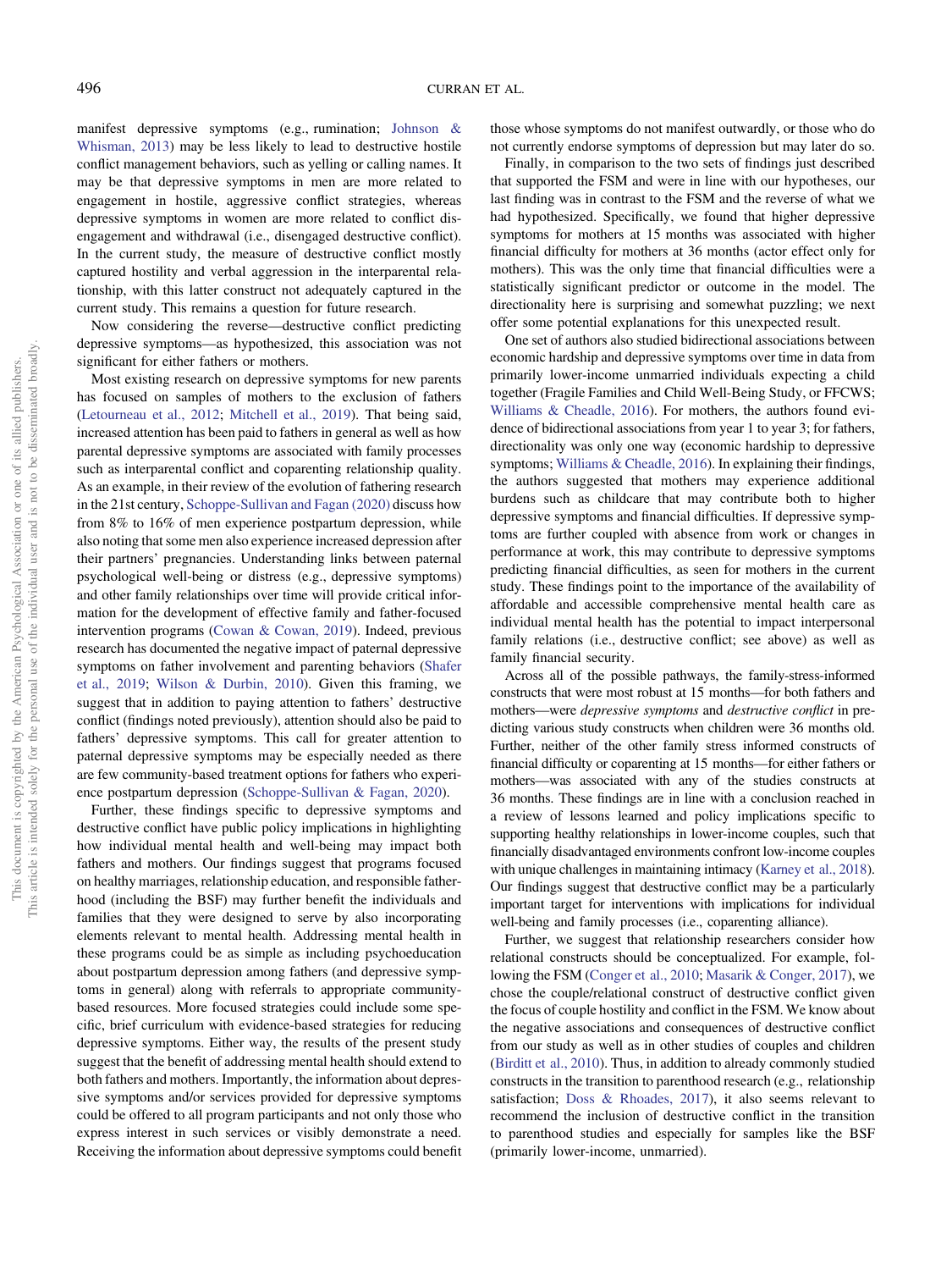manifest depressive symptoms (e.g., rumination; [Johnson &](#page-11-0) [Whisman, 2013\)](#page-11-0) may be less likely to lead to destructive hostile conflict management behaviors, such as yelling or calling names. It may be that depressive symptoms in men are more related to engagement in hostile, aggressive conflict strategies, whereas depressive symptoms in women are more related to conflict disengagement and withdrawal (i.e., disengaged destructive conflict). In the current study, the measure of destructive conflict mostly captured hostility and verbal aggression in the interparental relationship, with this latter construct not adequately captured in the current study. This remains a question for future research.

Now considering the reverse—destructive conflict predicting depressive symptoms—as hypothesized, this association was not significant for either fathers or mothers.

Most existing research on depressive symptoms for new parents has focused on samples of mothers to the exclusion of fathers ([Letourneau et al., 2012](#page-11-0); [Mitchell et al., 2019\)](#page-12-0). That being said, increased attention has been paid to fathers in general as well as how parental depressive symptoms are associated with family processes such as interparental conflict and coparenting relationship quality. As an example, in their review of the evolution of fathering research in the 21st century, [Schoppe-Sullivan and Fagan \(2020\)](#page-12-0) discuss how from 8% to 16% of men experience postpartum depression, while also noting that some men also experience increased depression after their partners' pregnancies. Understanding links between paternal psychological well-being or distress (e.g., depressive symptoms) and other family relationships over time will provide critical information for the development of effective family and father-focused intervention programs [\(Cowan & Cowan, 2019\)](#page-11-0). Indeed, previous research has documented the negative impact of paternal depressive symptoms on father involvement and parenting behaviors ([Shafer](#page-12-0) [et al., 2019;](#page-12-0) [Wilson & Durbin, 2010](#page-12-0)). Given this framing, we suggest that in addition to paying attention to fathers' destructive conflict (findings noted previously), attention should also be paid to fathers' depressive symptoms. This call for greater attention to paternal depressive symptoms may be especially needed as there are few community-based treatment options for fathers who experience postpartum depression [\(Schoppe-Sullivan & Fagan, 2020\)](#page-12-0).

Further, these findings specific to depressive symptoms and destructive conflict have public policy implications in highlighting how individual mental health and well-being may impact both fathers and mothers. Our findings suggest that programs focused on healthy marriages, relationship education, and responsible fatherhood (including the BSF) may further benefit the individuals and families that they were designed to serve by also incorporating elements relevant to mental health. Addressing mental health in these programs could be as simple as including psychoeducation about postpartum depression among fathers (and depressive symptoms in general) along with referrals to appropriate communitybased resources. More focused strategies could include some specific, brief curriculum with evidence-based strategies for reducing depressive symptoms. Either way, the results of the present study suggest that the benefit of addressing mental health should extend to both fathers and mothers. Importantly, the information about depressive symptoms and/or services provided for depressive symptoms could be offered to all program participants and not only those who express interest in such services or visibly demonstrate a need. Receiving the information about depressive symptoms could benefit those whose symptoms do not manifest outwardly, or those who do not currently endorse symptoms of depression but may later do so.

Finally, in comparison to the two sets of findings just described that supported the FSM and were in line with our hypotheses, our last finding was in contrast to the FSM and the reverse of what we had hypothesized. Specifically, we found that higher depressive symptoms for mothers at 15 months was associated with higher financial difficulty for mothers at 36 months (actor effect only for mothers). This was the only time that financial difficulties were a statistically significant predictor or outcome in the model. The directionality here is surprising and somewhat puzzling; we next offer some potential explanations for this unexpected result.

One set of authors also studied bidirectional associations between economic hardship and depressive symptoms over time in data from primarily lower-income unmarried individuals expecting a child together (Fragile Families and Child Well-Being Study, or FFCWS; [Williams & Cheadle, 2016](#page-12-0)). For mothers, the authors found evidence of bidirectional associations from year 1 to year 3; for fathers, directionality was only one way (economic hardship to depressive symptoms; [Williams & Cheadle, 2016](#page-12-0)). In explaining their findings, the authors suggested that mothers may experience additional burdens such as childcare that may contribute both to higher depressive symptoms and financial difficulties. If depressive symptoms are further coupled with absence from work or changes in performance at work, this may contribute to depressive symptoms predicting financial difficulties, as seen for mothers in the current study. These findings point to the importance of the availability of affordable and accessible comprehensive mental health care as individual mental health has the potential to impact interpersonal family relations (i.e., destructive conflict; see above) as well as family financial security.

Across all of the possible pathways, the family-stress-informed constructs that were most robust at 15 months—for both fathers and mothers—were depressive symptoms and destructive conflict in predicting various study constructs when children were 36 months old. Further, neither of the other family stress informed constructs of financial difficulty or coparenting at 15 months—for either fathers or mothers—was associated with any of the studies constructs at 36 months. These findings are in line with a conclusion reached in a review of lessons learned and policy implications specific to supporting healthy relationships in lower-income couples, such that financially disadvantaged environments confront low-income couples with unique challenges in maintaining intimacy [\(Karney et al., 2018\)](#page-11-0). Our findings suggest that destructive conflict may be a particularly important target for interventions with implications for individual well-being and family processes (i.e., coparenting alliance).

Further, we suggest that relationship researchers consider how relational constructs should be conceptualized. For example, following the FSM [\(Conger et al., 2010](#page-10-0); [Masarik & Conger, 2017\)](#page-11-0), we chose the couple/relational construct of destructive conflict given the focus of couple hostility and conflict in the FSM. We know about the negative associations and consequences of destructive conflict from our study as well as in other studies of couples and children ([Birditt et al., 2010](#page-10-0)). Thus, in addition to already commonly studied constructs in the transition to parenthood research (e.g., relationship satisfaction; [Doss & Rhoades, 2017](#page-11-0)), it also seems relevant to recommend the inclusion of destructive conflict in the transition to parenthood studies and especially for samples like the BSF (primarily lower-income, unmarried).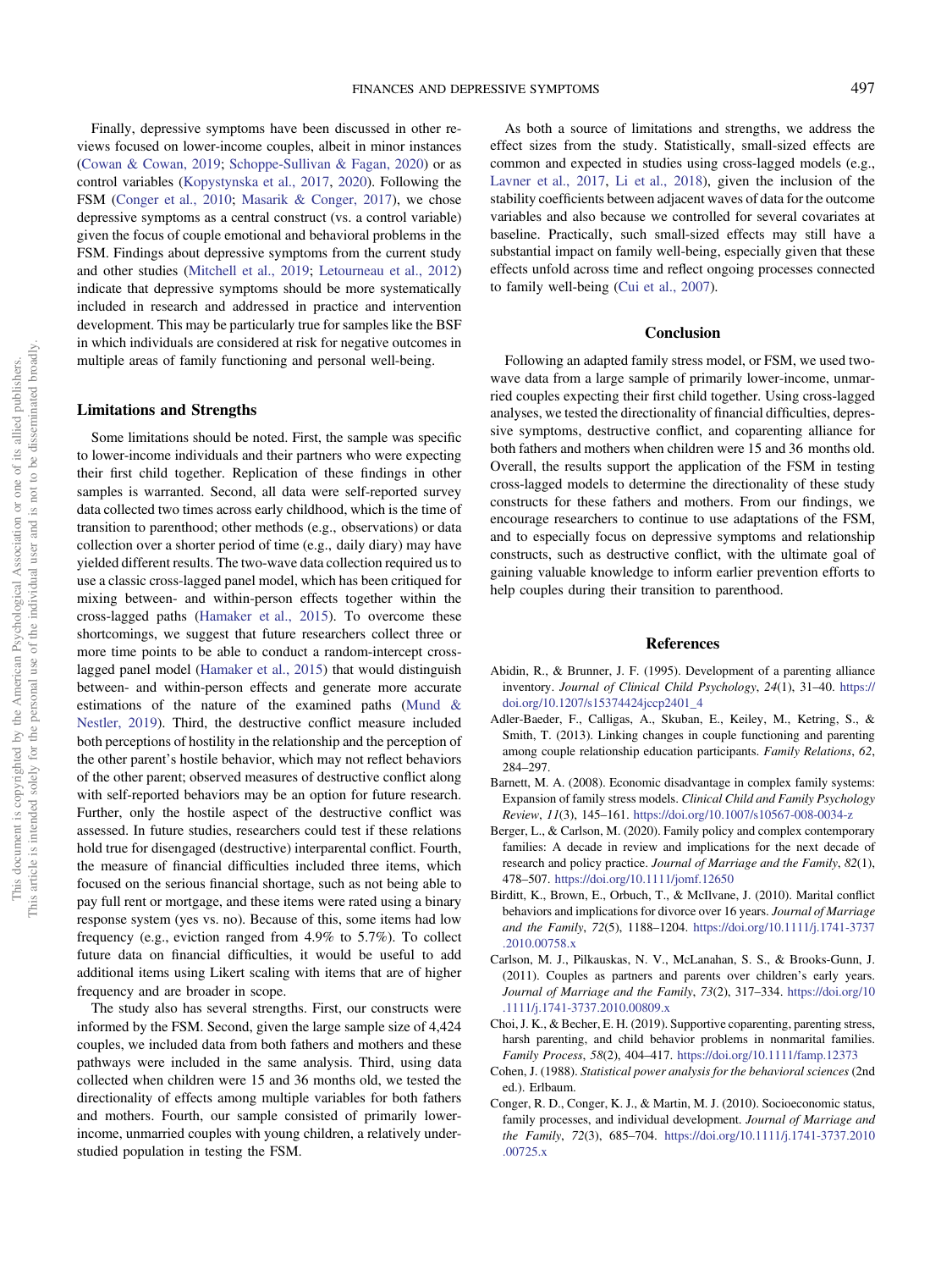<span id="page-10-0"></span>Finally, depressive symptoms have been discussed in other reviews focused on lower-income couples, albeit in minor instances ([Cowan & Cowan, 2019;](#page-11-0) [Schoppe-Sullivan & Fagan, 2020](#page-12-0)) or as control variables [\(Kopystynska et al., 2017,](#page-11-0) [2020\)](#page-11-0). Following the FSM (Conger et al., 2010; [Masarik & Conger, 2017\)](#page-11-0), we chose depressive symptoms as a central construct (vs. a control variable) given the focus of couple emotional and behavioral problems in the FSM. Findings about depressive symptoms from the current study and other studies ([Mitchell et al., 2019](#page-12-0); [Letourneau et al., 2012](#page-11-0)) indicate that depressive symptoms should be more systematically included in research and addressed in practice and intervention development. This may be particularly true for samples like the BSF in which individuals are considered at risk for negative outcomes in multiple areas of family functioning and personal well-being.

#### Limitations and Strengths

Some limitations should be noted. First, the sample was specific to lower-income individuals and their partners who were expecting their first child together. Replication of these findings in other samples is warranted. Second, all data were self-reported survey data collected two times across early childhood, which is the time of transition to parenthood; other methods (e.g., observations) or data collection over a shorter period of time (e.g., daily diary) may have yielded different results. The two-wave data collection required us to use a classic cross-lagged panel model, which has been critiqued for mixing between- and within-person effects together within the cross-lagged paths [\(Hamaker et al., 2015\)](#page-11-0). To overcome these shortcomings, we suggest that future researchers collect three or more time points to be able to conduct a random-intercept crosslagged panel model ([Hamaker et al., 2015\)](#page-11-0) that would distinguish between- and within-person effects and generate more accurate estimations of the nature of the examined paths [\(Mund &](#page-12-0) [Nestler, 2019](#page-12-0)). Third, the destructive conflict measure included both perceptions of hostility in the relationship and the perception of the other parent's hostile behavior, which may not reflect behaviors of the other parent; observed measures of destructive conflict along with self-reported behaviors may be an option for future research. Further, only the hostile aspect of the destructive conflict was assessed. In future studies, researchers could test if these relations hold true for disengaged (destructive) interparental conflict. Fourth, the measure of financial difficulties included three items, which focused on the serious financial shortage, such as not being able to pay full rent or mortgage, and these items were rated using a binary response system (yes vs. no). Because of this, some items had low frequency (e.g., eviction ranged from 4.9% to 5.7%). To collect future data on financial difficulties, it would be useful to add additional items using Likert scaling with items that are of higher frequency and are broader in scope.

The study also has several strengths. First, our constructs were informed by the FSM. Second, given the large sample size of 4,424 couples, we included data from both fathers and mothers and these pathways were included in the same analysis. Third, using data collected when children were 15 and 36 months old, we tested the directionality of effects among multiple variables for both fathers and mothers. Fourth, our sample consisted of primarily lowerincome, unmarried couples with young children, a relatively understudied population in testing the FSM.

As both a source of limitations and strengths, we address the effect sizes from the study. Statistically, small-sized effects are common and expected in studies using cross-lagged models (e.g., [Lavner et al., 2017,](#page-11-0) [Li et al., 2018](#page-11-0)), given the inclusion of the stability coefficients between adjacent waves of data for the outcome variables and also because we controlled for several covariates at baseline. Practically, such small-sized effects may still have a substantial impact on family well-being, especially given that these effects unfold across time and reflect ongoing processes connected to family well-being ([Cui et al., 2007\)](#page-11-0).

#### **Conclusion**

Following an adapted family stress model, or FSM, we used twowave data from a large sample of primarily lower-income, unmarried couples expecting their first child together. Using cross-lagged analyses, we tested the directionality of financial difficulties, depressive symptoms, destructive conflict, and coparenting alliance for both fathers and mothers when children were 15 and 36 months old. Overall, the results support the application of the FSM in testing cross-lagged models to determine the directionality of these study constructs for these fathers and mothers. From our findings, we encourage researchers to continue to use adaptations of the FSM, and to especially focus on depressive symptoms and relationship constructs, such as destructive conflict, with the ultimate goal of gaining valuable knowledge to inform earlier prevention efforts to help couples during their transition to parenthood.

#### References

- Abidin, R., & Brunner, J. F. (1995). Development of a parenting alliance inventory. Journal of Clinical Child Psychology, 24(1), 31–40. [https://](https://doi.org/10.1207/s15374424jccp2401_4) [doi.org/10.1207/s15374424jccp2401\\_4](https://doi.org/10.1207/s15374424jccp2401_4)
- Adler-Baeder, F., Calligas, A., Skuban, E., Keiley, M., Ketring, S., & Smith, T. (2013). Linking changes in couple functioning and parenting among couple relationship education participants. Family Relations, 62, 284–297.
- Barnett, M. A. (2008). Economic disadvantage in complex family systems: Expansion of family stress models. Clinical Child and Family Psychology Review, 11(3), 145–161. <https://doi.org/10.1007/s10567-008-0034-z>
- Berger, L., & Carlson, M. (2020). Family policy and complex contemporary families: A decade in review and implications for the next decade of research and policy practice. Journal of Marriage and the Family, 82(1), 478–507. <https://doi.org/10.1111/jomf.12650>
- Birditt, K., Brown, E., Orbuch, T., & McIlvane, J. (2010). Marital conflict behaviors and implications for divorce over 16 years. Journal of Marriage and the Family, 72(5), 1188–1204. [https://doi.org/10.1111/j.1741-3737](https://doi.org/10.1111/j.1741-3737.2010.00758.x) [.2010.00758.x](https://doi.org/10.1111/j.1741-3737.2010.00758.x)
- Carlson, M. J., Pilkauskas, N. V., McLanahan, S. S., & Brooks-Gunn, J. (2011). Couples as partners and parents over children's early years. Journal of Marriage and the Family, 73(2), 317–334. [https://doi.org/10](https://doi.org/10.1111/j.1741-3737.2010.00809.x) [.1111/j.1741-3737.2010.00809.x](https://doi.org/10.1111/j.1741-3737.2010.00809.x)
- Choi, J. K., & Becher, E. H. (2019). Supportive coparenting, parenting stress, harsh parenting, and child behavior problems in nonmarital families. Family Process, 58(2), 404–417. <https://doi.org/10.1111/famp.12373>
- Cohen, J. (1988). Statistical power analysis for the behavioral sciences (2nd ed.). Erlbaum.
- Conger, R. D., Conger, K. J., & Martin, M. J. (2010). Socioeconomic status, family processes, and individual development. Journal of Marriage and the Family, 72(3), 685–704. [https://doi.org/10.1111/j.1741-3737.2010](https://doi.org/10.1111/j.1741-3737.2010.00725.x) [.00725.x](https://doi.org/10.1111/j.1741-3737.2010.00725.x)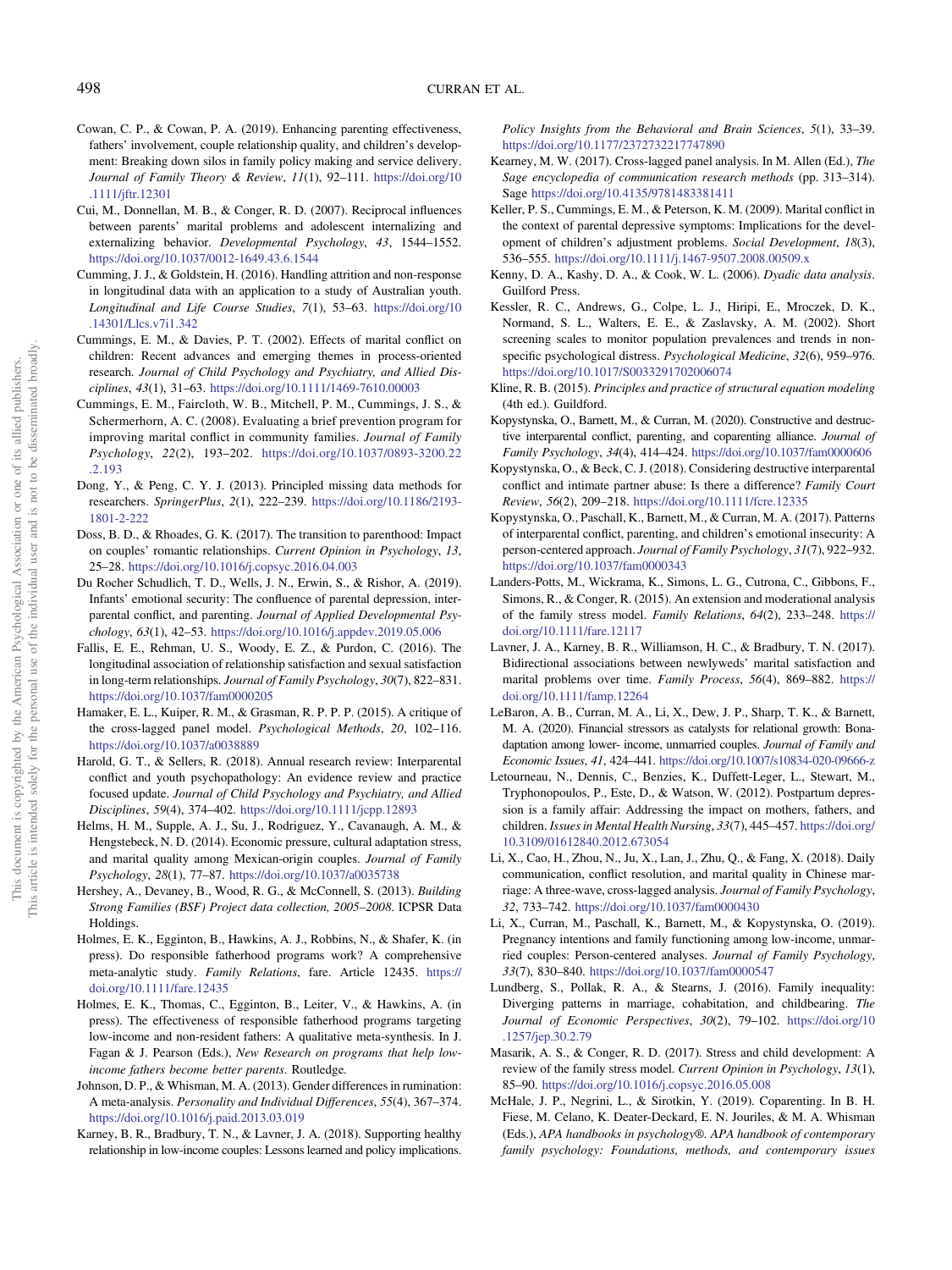- <span id="page-11-0"></span>Cowan, C. P., & Cowan, P. A. (2019). Enhancing parenting effectiveness, fathers' involvement, couple relationship quality, and children's development: Breaking down silos in family policy making and service delivery. Journal of Family Theory & Review, 11(1), 92–111. [https://doi.org/10](https://doi.org/10.1111/jftr.12301) [.1111/jftr.12301](https://doi.org/10.1111/jftr.12301)
- Cui, M., Donnellan, M. B., & Conger, R. D. (2007). Reciprocal influences between parents' marital problems and adolescent internalizing and externalizing behavior. Developmental Psychology, 43, 1544–1552. <https://doi.org/10.1037/0012-1649.43.6.1544>
- Cumming, J. J., & Goldstein, H. (2016). Handling attrition and non-response in longitudinal data with an application to a study of Australian youth. Longitudinal and Life Course Studies, 7(1), 53–63. [https://doi.org/10](https://doi.org/10.14301/Llcs.v7i1.342) [.14301/Llcs.v7i1.342](https://doi.org/10.14301/Llcs.v7i1.342)
- Cummings, E. M., & Davies, P. T. (2002). Effects of marital conflict on children: Recent advances and emerging themes in process-oriented research. Journal of Child Psychology and Psychiatry, and Allied Disciplines, 43(1), 31–63. <https://doi.org/10.1111/1469-7610.00003>
- Cummings, E. M., Faircloth, W. B., Mitchell, P. M., Cummings, J. S., & Schermerhorn, A. C. (2008). Evaluating a brief prevention program for improving marital conflict in community families. Journal of Family Psychology, 22(2), 193–202. [https://doi.org/10.1037/0893-3200.22](https://doi.org/10.1037/0893-3200.22.2.193) [.2.193](https://doi.org/10.1037/0893-3200.22.2.193)
- Dong, Y., & Peng, C. Y. J. (2013). Principled missing data methods for researchers. SpringerPlus, 2(1), 222–239. [https://doi.org/10.1186/2193-](https://doi.org/10.1186/2193-1801-2-222) [1801-2-222](https://doi.org/10.1186/2193-1801-2-222)
- Doss, B. D., & Rhoades, G. K. (2017). The transition to parenthood: Impact on couples' romantic relationships. Current Opinion in Psychology, 13, 25–28. <https://doi.org/10.1016/j.copsyc.2016.04.003>
- Du Rocher Schudlich, T. D., Wells, J. N., Erwin, S., & Rishor, A. (2019). Infants' emotional security: The confluence of parental depression, interparental conflict, and parenting. Journal of Applied Developmental Psychology, 63(1), 42–53. <https://doi.org/10.1016/j.appdev.2019.05.006>
- Fallis, E. E., Rehman, U. S., Woody, E. Z., & Purdon, C. (2016). The longitudinal association of relationship satisfaction and sexual satisfaction in long-term relationships. Journal of Family Psychology, 30(7), 822–831. <https://doi.org/10.1037/fam0000205>
- Hamaker, E. L., Kuiper, R. M., & Grasman, R. P. P. P. (2015). A critique of the cross-lagged panel model. Psychological Methods, 20, 102–116. <https://doi.org/10.1037/a0038889>
- Harold, G. T., & Sellers, R. (2018). Annual research review: Interparental conflict and youth psychopathology: An evidence review and practice focused update. Journal of Child Psychology and Psychiatry, and Allied Disciplines, 59(4), 374–402. <https://doi.org/10.1111/jcpp.12893>
- Helms, H. M., Supple, A. J., Su, J., Rodriguez, Y., Cavanaugh, A. M., & Hengstebeck, N. D. (2014). Economic pressure, cultural adaptation stress, and marital quality among Mexican-origin couples. Journal of Family Psychology, 28(1), 77–87. <https://doi.org/10.1037/a0035738>
- Hershey, A., Devaney, B., Wood, R. G., & McConnell, S. (2013). Building Strong Families (BSF) Project data collection, 2005–2008. ICPSR Data Holdings.
- Holmes, E. K., Egginton, B., Hawkins, A. J., Robbins, N., & Shafer, K. (in press). Do responsible fatherhood programs work? A comprehensive meta-analytic study. Family Relations, fare. Article 12435. [https://](https://doi.org/10.1111/fare.12435) [doi.org/10.1111/fare.12435](https://doi.org/10.1111/fare.12435)
- Holmes, E. K., Thomas, C., Egginton, B., Leiter, V., & Hawkins, A. (in press). The effectiveness of responsible fatherhood programs targeting low-income and non-resident fathers: A qualitative meta-synthesis. In J. Fagan & J. Pearson (Eds.), New Research on programs that help lowincome fathers become better parents. Routledge.
- Johnson, D. P., & Whisman, M. A. (2013). Gender differences in rumination: A meta-analysis. Personality and Individual Differences, 55(4), 367–374. <https://doi.org/10.1016/j.paid.2013.03.019>
- Karney, B. R., Bradbury, T. N., & Lavner, J. A. (2018). Supporting healthy relationship in low-income couples: Lessons learned and policy implications.

Policy Insights from the Behavioral and Brain Sciences, 5(1), 33–39. <https://doi.org/10.1177/2372732217747890>

- Kearney, M. W. (2017). Cross-lagged panel analysis. In M. Allen (Ed.), The Sage encyclopedia of communication research methods (pp. 313–314). Sage <https://doi.org/10.4135/9781483381411>
- Keller, P. S., Cummings, E. M., & Peterson, K. M. (2009). Marital conflict in the context of parental depressive symptoms: Implications for the development of children's adjustment problems. Social Development, 18(3), 536–555. <https://doi.org/10.1111/j.1467-9507.2008.00509.x>
- Kenny, D. A., Kashy, D. A., & Cook, W. L. (2006). Dyadic data analysis. Guilford Press.
- Kessler, R. C., Andrews, G., Colpe, L. J., Hiripi, E., Mroczek, D. K., Normand, S. L., Walters, E. E., & Zaslavsky, A. M. (2002). Short screening scales to monitor population prevalences and trends in nonspecific psychological distress. Psychological Medicine, 32(6), 959–976. <https://doi.org/10.1017/S0033291702006074>
- Kline, R. B. (2015). Principles and practice of structural equation modeling (4th ed.). Guildford.
- Kopystynska, O., Barnett, M., & Curran, M. (2020). Constructive and destructive interparental conflict, parenting, and coparenting alliance. Journal of Family Psychology, 34(4), 414–424. <https://doi.org/10.1037/fam0000606>
- Kopystynska, O., & Beck, C. J. (2018). Considering destructive interparental conflict and intimate partner abuse: Is there a difference? Family Court Review, 56(2), 209–218. <https://doi.org/10.1111/fcre.12335>
- Kopystynska, O., Paschall, K., Barnett, M., & Curran, M. A. (2017). Patterns of interparental conflict, parenting, and children's emotional insecurity: A person-centered approach. Journal of Family Psychology, 31(7), 922–932. <https://doi.org/10.1037/fam0000343>
- Landers-Potts, M., Wickrama, K., Simons, L. G., Cutrona, C., Gibbons, F., Simons, R., & Conger, R. (2015). An extension and moderational analysis of the family stress model. Family Relations, 64(2), 233–248. [https://](https://doi.org/10.1111/fare.12117) [doi.org/10.1111/fare.12117](https://doi.org/10.1111/fare.12117)
- Lavner, J. A., Karney, B. R., Williamson, H. C., & Bradbury, T. N. (2017). Bidirectional associations between newlyweds' marital satisfaction and marital problems over time. Family Process, 56(4), 869–882. [https://](https://doi.org/10.1111/famp.12264) [doi.org/10.1111/famp.12264](https://doi.org/10.1111/famp.12264)
- LeBaron, A. B., Curran, M. A., Li, X., Dew, J. P., Sharp, T. K., & Barnett, M. A. (2020). Financial stressors as catalysts for relational growth: Bonadaptation among lower- income, unmarried couples. Journal of Family and Economic Issues, 41, 424–441. <https://doi.org/10.1007/s10834-020-09666-z>
- Letourneau, N., Dennis, C., Benzies, K., Duffett-Leger, L., Stewart, M., Tryphonopoulos, P., Este, D., & Watson, W. (2012). Postpartum depression is a family affair: Addressing the impact on mothers, fathers, and children. Issues in Mental Health Nursing, 33(7), 445–457. [https://doi.org/](https://doi.org/10.3109/01612840.2012.673054) [10.3109/01612840.2012.673054](https://doi.org/10.3109/01612840.2012.673054)
- Li, X., Cao, H., Zhou, N., Ju, X., Lan, J., Zhu, Q., & Fang, X. (2018). Daily communication, conflict resolution, and marital quality in Chinese marriage: A three-wave, cross-lagged analysis. Journal of Family Psychology, 32, 733–742. <https://doi.org/10.1037/fam0000430>
- Li, X., Curran, M., Paschall, K., Barnett, M., & Kopystynska, O. (2019). Pregnancy intentions and family functioning among low-income, unmarried couples: Person-centered analyses. Journal of Family Psychology, 33(7), 830–840. <https://doi.org/10.1037/fam0000547>
- Lundberg, S., Pollak, R. A., & Stearns, J. (2016). Family inequality: Diverging patterns in marriage, cohabitation, and childbearing. The Journal of Economic Perspectives, 30(2), 79–102. [https://doi.org/10](https://doi.org/10.1257/jep.30.2.79) [.1257/jep.30.2.79](https://doi.org/10.1257/jep.30.2.79)
- Masarik, A. S., & Conger, R. D. (2017). Stress and child development: A review of the family stress model. Current Opinion in Psychology, 13(1), 85–90. <https://doi.org/10.1016/j.copsyc.2016.05.008>
- McHale, J. P., Negrini, L., & Sirotkin, Y. (2019). Coparenting. In B. H. Fiese, M. Celano, K. Deater-Deckard, E. N. Jouriles, & M. A. Whisman (Eds.), APA handbooks in psychology®. APA handbook of contemporary family psychology: Foundations, methods, and contemporary issues